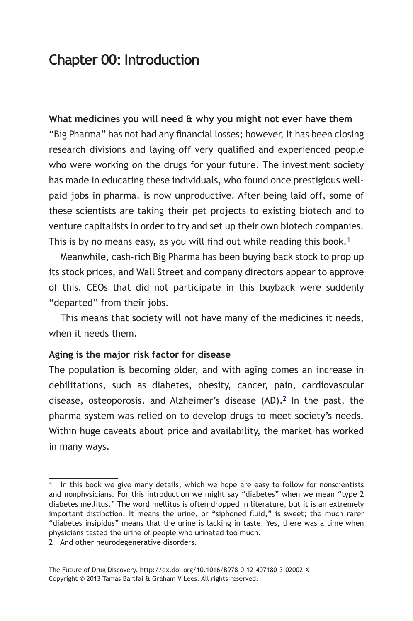# <span id="page-0-0"></span>**Chapter 00: Introduction**

# **What medicines you will need & why you might not ever have them**

"Big Pharma" has not had any financial losses; however, it has been closing research divisions and laying off very qualified and experienced people who were working on the drugs for your future. The investment society has made in educating these individuals, who found once prestigious wellpaid jobs in pharma, is now unproductive. After being laid off, some of these scientists are taking their pet projects to existing biotech and to venture capitalists in order to try and set up their own biotech companies. This is by no means easy, as you will find out while reading this book.<sup>[1](#page-0-0)</sup>

Meanwhile, cash-rich Big Pharma has been buying back stock to prop up its stock prices, and Wall Street and company directors appear to approve of this. CEOs that did not participate in this buyback were suddenly "departed" from their jobs.

This means that society will not have many of the medicines it needs, when it needs them.

## **Aging is the major risk factor for disease**

The population is becoming older, and with aging comes an increase in debilitations, such as diabetes, obesity, cancer, pain, cardiovascular disease, osteoporosis, and Alzheimer's disease  $(AD)$ .<sup>[2](#page-0-0)</sup> In the past, the pharma system was relied on to develop drugs to meet society's needs. Within huge caveats about price and availability, the market has worked in many ways.

<sup>1</sup> In this book we give many details, which we hope are easy to follow for nonscientists and nonphysicians. For this introduction we might say "diabetes" when we mean "type 2 diabetes mellitus." The word mellitus is often dropped in literature, but it is an extremely important distinction. It means the urine, or "siphoned fluid," is sweet; the much rarer "diabetes insipidus" means that the urine is lacking in taste. Yes, there was a time when physicians tasted the urine of people who urinated too much.

<sup>2</sup> And other neurodegenerative disorders.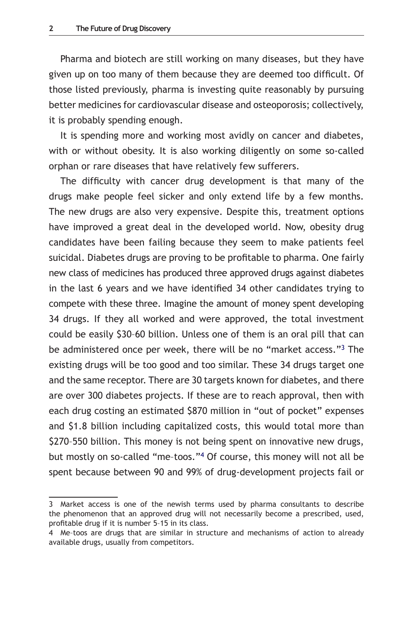Pharma and biotech are still working on many diseases, but they have given up on too many of them because they are deemed too difficult. Of those listed previously, pharma is investing quite reasonably by pursuing better medicines for cardiovascular disease and osteoporosis; collectively, it is probably spending enough.

It is spending more and working most avidly on cancer and diabetes, with or without obesity. It is also working diligently on some so-called orphan or rare diseases that have relatively few sufferers.

The difficulty with cancer drug development is that many of the drugs make people feel sicker and only extend life by a few months. The new drugs are also very expensive. Despite this, treatment options have improved a great deal in the developed world. Now, obesity drug candidates have been failing because they seem to make patients feel suicidal. Diabetes drugs are proving to be profitable to pharma. One fairly new class of medicines has produced three approved drugs against diabetes in the last 6 years and we have identified 34 other candidates trying to compete with these three. Imagine the amount of money spent developing 34 drugs. If they all worked and were approved, the total investment could be easily \$30–60 billion. Unless one of them is an oral pill that can be administered once per week, there will be no "market access.["3](#page-0-0) The existing drugs will be too good and too similar. These 34 drugs target one and the same receptor. There are 30 targets known for diabetes, and there are over 300 diabetes projects. If these are to reach approval, then with each drug costing an estimated \$870 million in "out of pocket" expenses and \$1.8 billion including capitalized costs, this would total more than \$270–550 billion. This money is not being spent on innovative new drugs, but mostly on so-called "me–toos.["4](#page-0-0) Of course, this money will not all be spent because between 90 and 99% of drug-development projects fail or

<sup>3</sup> Market access is one of the newish terms used by pharma consultants to describe the phenomenon that an approved drug will not necessarily become a prescribed, used, profitable drug if it is number 5–15 in its class.

<sup>4</sup> Me–toos are drugs that are similar in structure and mechanisms of action to already available drugs, usually from competitors.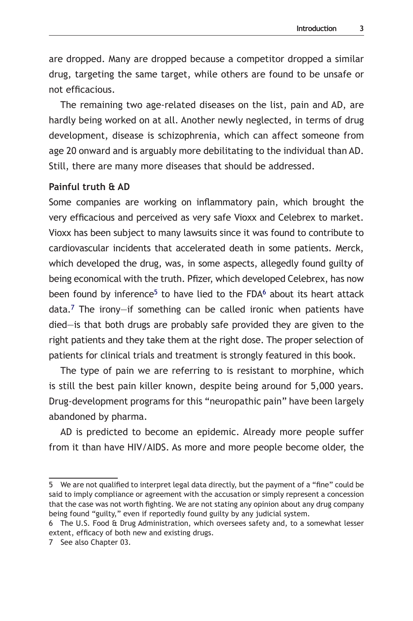are dropped. Many are dropped because a competitor dropped a similar drug, targeting the same target, while others are found to be unsafe or not efficacious.

The remaining two age-related diseases on the list, pain and AD, are hardly being worked on at all. Another newly neglected, in terms of drug development, disease is schizophrenia, which can affect someone from age 20 onward and is arguably more debilitating to the individual than AD. Still, there are many more diseases that should be addressed.

## **Painful truth & AD**

Some companies are working on inflammatory pain, which brought the very efficacious and perceived as very safe Vioxx and Celebrex to market. Vioxx has been subject to many lawsuits since it was found to contribute to cardiovascular incidents that accelerated death in some patients. Merck, which developed the drug, was, in some aspects, allegedly found guilty of being economical with the truth. Pfizer, which developed Celebrex, has now been found by inference<sup>[5](#page-0-0)</sup> to have lied to the FDA $6$  about its heart attack  $data.<sup>7</sup>$  The irony-if something can be called ironic when patients have died—is that both drugs are probably safe provided they are given to the right patients and they take them at the right dose. The proper selection of patients for clinical trials and treatment is strongly featured in this book.

The type of pain we are referring to is resistant to morphine, which is still the best pain killer known, despite being around for 5,000 years. Drug-development programs for this "neuropathic pain" have been largely abandoned by pharma.

AD is predicted to become an epidemic. Already more people suffer from it than have HIV/AIDS. As more and more people become older, the

<sup>5</sup> We are not qualified to interpret legal data directly, but the payment of a "fine" could be said to imply compliance or agreement with the accusation or simply represent a concession that the case was not worth fighting. We are not stating any opinion about any drug company being found "guilty," even if reportedly found guilty by any judicial system.

<sup>6</sup> The U.S. Food & Drug Administration, which oversees safety and, to a somewhat lesser extent, efficacy of both new and existing drugs.

<sup>7</sup> See also Chapter 03.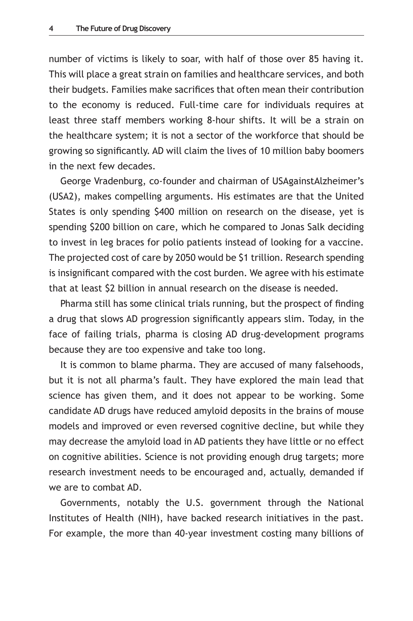number of victims is likely to soar, with half of those over 85 having it. This will place a great strain on families and healthcare services, and both their budgets. Families make sacrifices that often mean their contribution to the economy is reduced. Full-time care for individuals requires at least three staff members working 8-hour shifts. It will be a strain on the healthcare system; it is not a sector of the workforce that should be growing so significantly. AD will claim the lives of 10 million baby boomers in the next few decades.

George Vradenburg, co-founder and chairman of USAgainstAlzheimer's (USA2), makes compelling arguments. His estimates are that the United States is only spending \$400 million on research on the disease, yet is spending \$200 billion on care, which he compared to Jonas Salk deciding to invest in leg braces for polio patients instead of looking for a vaccine. The projected cost of care by 2050 would be \$1 trillion. Research spending is insignificant compared with the cost burden. We agree with his estimate that at least \$2 billion in annual research on the disease is needed.

Pharma still has some clinical trials running, but the prospect of finding a drug that slows AD progression significantly appears slim. Today, in the face of failing trials, pharma is closing AD drug-development programs because they are too expensive and take too long.

It is common to blame pharma. They are accused of many falsehoods, but it is not all pharma's fault. They have explored the main lead that science has given them, and it does not appear to be working. Some candidate AD drugs have reduced amyloid deposits in the brains of mouse models and improved or even reversed cognitive decline, but while they may decrease the amyloid load in AD patients they have little or no effect on cognitive abilities. Science is not providing enough drug targets; more research investment needs to be encouraged and, actually, demanded if we are to combat AD.

Governments, notably the U.S. government through the National Institutes of Health (NIH), have backed research initiatives in the past. For example, the more than 40-year investment costing many billions of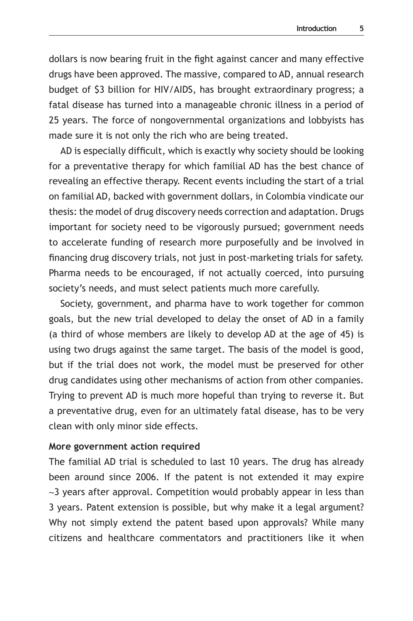dollars is now bearing fruit in the fight against cancer and many effective drugs have been approved. The massive, compared to AD, annual research budget of \$3 billion for HIV/AIDS, has brought extraordinary progress; a fatal disease has turned into a manageable chronic illness in a period of 25 years. The force of nongovernmental organizations and lobbyists has made sure it is not only the rich who are being treated.

AD is especially difficult, which is exactly why society should be looking for a preventative therapy for which familial AD has the best chance of revealing an effective therapy. Recent events including the start of a trial on familial AD, backed with government dollars, in Colombia vindicate our thesis: the model of drug discovery needs correction and adaptation. Drugs important for society need to be vigorously pursued; government needs to accelerate funding of research more purposefully and be involved in financing drug discovery trials, not just in post-marketing trials for safety. Pharma needs to be encouraged, if not actually coerced, into pursuing society's needs, and must select patients much more carefully.

Society, government, and pharma have to work together for common goals, but the new trial developed to delay the onset of AD in a family (a third of whose members are likely to develop AD at the age of 45) is using two drugs against the same target. The basis of the model is good, but if the trial does not work, the model must be preserved for other drug candidates using other mechanisms of action from other companies. Trying to prevent AD is much more hopeful than trying to reverse it. But a preventative drug, even for an ultimately fatal disease, has to be very clean with only minor side effects.

### **More government action required**

The familial AD trial is scheduled to last 10 years. The drug has already been around since 2006. If the patent is not extended it may expire ∼3 years after approval. Competition would probably appear in less than 3 years. Patent extension is possible, but why make it a legal argument? Why not simply extend the patent based upon approvals? While many citizens and healthcare commentators and practitioners like it when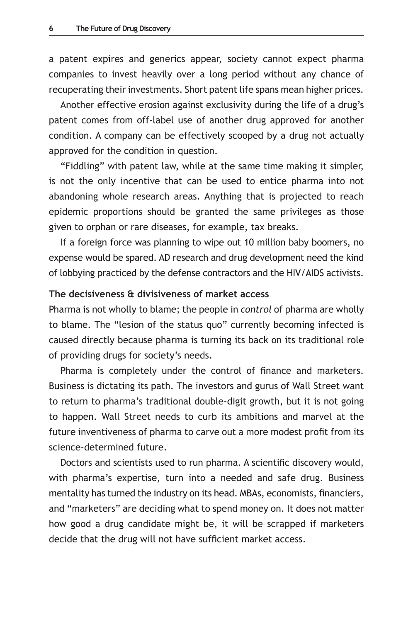a patent expires and generics appear, society cannot expect pharma companies to invest heavily over a long period without any chance of recuperating their investments. Short patent life spans mean higher prices.

Another effective erosion against exclusivity during the life of a drug's patent comes from off-label use of another drug approved for another condition. A company can be effectively scooped by a drug not actually approved for the condition in question.

"Fiddling" with patent law, while at the same time making it simpler, is not the only incentive that can be used to entice pharma into not abandoning whole research areas. Anything that is projected to reach epidemic proportions should be granted the same privileges as those given to orphan or rare diseases, for example, tax breaks.

If a foreign force was planning to wipe out 10 million baby boomers, no expense would be spared. AD research and drug development need the kind of lobbying practiced by the defense contractors and the HIV/AIDS activists.

## **The decisiveness & divisiveness of market access**

Pharma is not wholly to blame; the people in *control* of pharma are wholly to blame. The "lesion of the status quo" currently becoming infected is caused directly because pharma is turning its back on its traditional role of providing drugs for society's needs.

Pharma is completely under the control of finance and marketers. Business is dictating its path. The investors and gurus of Wall Street want to return to pharma's traditional double-digit growth, but it is not going to happen. Wall Street needs to curb its ambitions and marvel at the future inventiveness of pharma to carve out a more modest profit from its science-determined future.

Doctors and scientists used to run pharma. A scientific discovery would, with pharma's expertise, turn into a needed and safe drug. Business mentality has turned the industry on its head. MBAs, economists, financiers, and "marketers" are deciding what to spend money on. It does not matter how good a drug candidate might be, it will be scrapped if marketers decide that the drug will not have sufficient market access.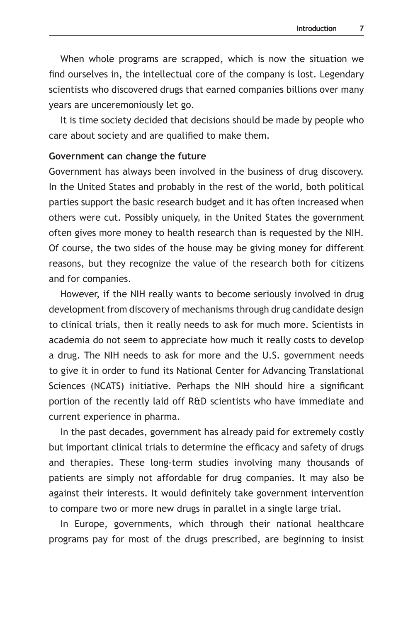When whole programs are scrapped, which is now the situation we find ourselves in, the intellectual core of the company is lost. Legendary scientists who discovered drugs that earned companies billions over many years are unceremoniously let go.

It is time society decided that decisions should be made by people who care about society and are qualified to make them.

#### **Government can change the future**

Government has always been involved in the business of drug discovery. In the United States and probably in the rest of the world, both political parties support the basic research budget and it has often increased when others were cut. Possibly uniquely, in the United States the government often gives more money to health research than is requested by the NIH. Of course, the two sides of the house may be giving money for different reasons, but they recognize the value of the research both for citizens and for companies.

However, if the NIH really wants to become seriously involved in drug development from discovery of mechanisms through drug candidate design to clinical trials, then it really needs to ask for much more. Scientists in academia do not seem to appreciate how much it really costs to develop a drug. The NIH needs to ask for more and the U.S. government needs to give it in order to fund its National Center for Advancing Translational Sciences (NCATS) initiative. Perhaps the NIH should hire a significant portion of the recently laid off R&D scientists who have immediate and current experience in pharma.

In the past decades, government has already paid for extremely costly but important clinical trials to determine the efficacy and safety of drugs and therapies. These long-term studies involving many thousands of patients are simply not affordable for drug companies. It may also be against their interests. It would definitely take government intervention to compare two or more new drugs in parallel in a single large trial.

In Europe, governments, which through their national healthcare programs pay for most of the drugs prescribed, are beginning to insist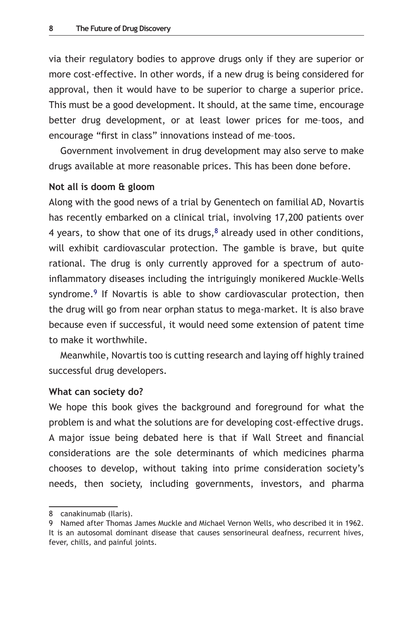via their regulatory bodies to approve drugs only if they are superior or more cost-effective. In other words, if a new drug is being considered for approval, then it would have to be superior to charge a superior price. This must be a good development. It should, at the same time, encourage better drug development, or at least lower prices for me–toos, and encourage "first in class" innovations instead of me–toos.

Government involvement in drug development may also serve to make drugs available at more reasonable prices. This has been done before.

#### **Not all is doom & gloom**

Along with the good news of a trial by Genentech on familial AD, Novartis has recently embarked on a clinical trial, involving 17,200 patients over 4 years, to show that one of its drugs, $8$  already used in other conditions, will exhibit cardiovascular protection. The gamble is brave, but quite rational. The drug is only currently approved for a spectrum of autoinflammatory diseases including the intriguingly monikered Muckle–Wells syndrome.<sup>[9](#page-0-0)</sup> If Novartis is able to show cardiovascular protection, then the drug will go from near orphan status to mega-market. It is also brave because even if successful, it would need some extension of patent time to make it worthwhile.

Meanwhile, Novartis too is cutting research and laying off highly trained successful drug developers.

#### **What can society do?**

We hope this book gives the background and foreground for what the problem is and what the solutions are for developing cost-effective drugs. A major issue being debated here is that if Wall Street and financial considerations are the sole determinants of which medicines pharma chooses to develop, without taking into prime consideration society's needs, then society, including governments, investors, and pharma

<sup>8</sup> canakinumab (Ilaris).

<sup>9</sup> Named after Thomas James Muckle and Michael Vernon Wells, who described it in 1962. It is an autosomal dominant disease that causes sensorineural deafness, recurrent hives, fever, chills, and painful joints.